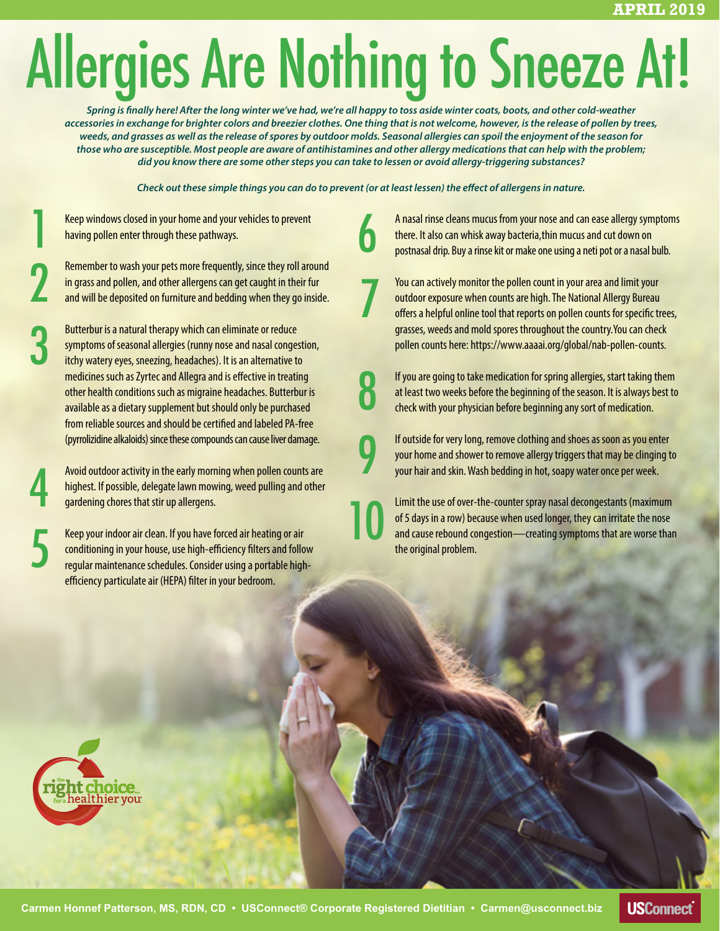# Allergies Are Nothing to Sneeze At!

*Spring is finally here! After the long winter we've had, we're all happy to toss aside winter coats, boots, and other cold-weather accessories in exchange for brighter colors and breezier clothes. One thing that is not welcome, however, is the release of pollen by trees, weeds, and grasses as well as the release of spores by outdoor molds. Seasonal allergies can spoil the enjoyment of the season for those who are susceptible. Most people are aware of antihistamines and other allergy medications that can help with the problem; did you know there are some other steps you can take to lessen or avoid allergy-triggering substances?*

*Check out these simple things you can do to prevent (or at least lessen) the effect of allergens in nature.*

6

7

8

9

Keep windows closed in your home and your vehicles to prevent having pollen enter through these pathways.

1

2

3

4

Remember to wash your pets more frequently, since they roll around in grass and pollen, and other allergens can get caught in their fur and will be deposited on furniture and bedding when they go inside.

Butterbur is a natural therapy which can eliminate or reduce symptoms of seasonal allergies (runny nose and nasal congestion, itchy watery eyes, sneezing, headaches). It is an alternative to medicines such as Zyrtec and Allegra and is effective in treating other health conditions such as migraine headaches. Butterbur is available as a dietary supplement but should only be purchased from reliable sources and should be certified and labeled PA-free (pyrrolizidine alkaloids) since these compounds can cause liver damage.

Avoid outdoor activity in the early morning when pollen counts are highest. If possible, delegate lawn mowing, weed pulling and other gardening chores that stir up allergens.

Keep your indoor air clean. If you have forced air heating or air conditioning in your house, use high-efficiency filters and follow regular maintenance schedules. Consider using a portable highefficiency particulate air (HEPA) filter in your bedroom. gardening chores that stir up allergens.<br>
Keep your indoor air clean. If you have forced air heating or air<br>
conditioning in your house, use high-efficiency filters and follow<br>
regular maintenance schedules. Consider using

A nasal rinse cleans mucus from your nose and can ease allergy symptoms there. It also can whisk away bacteria,thin mucus and cut down on postnasal drip. Buy a rinse kit or make one using a neti pot or a nasal bulb.

You can actively monitor the pollen count in your area and limit your outdoor exposure when counts are high. The National Allergy Bureau offers a helpful online tool that reports on pollen counts for specific trees, grasses, weeds and mold spores throughout the country.You can check pollen counts here: https://www.aaaai.org/global/nab-pollen-counts.

If you are going to take medication for spring allergies, start taking them at least two weeks before the beginning of the season. It is always best to check with your physician before beginning any sort of medication.

If outside for very long, remove clothing and shoes as soon as you enter your home and shower to remove allergy triggers that may be clinging to your hair and skin. Wash bedding in hot, soapy water once per week.

Limit the use of over-the-counter spray nasal decongestants (maximum of 5 days in a row) because when used longer, they can irritate the nose and cause rebound congestion—creating symptoms that are worse than the original problem.